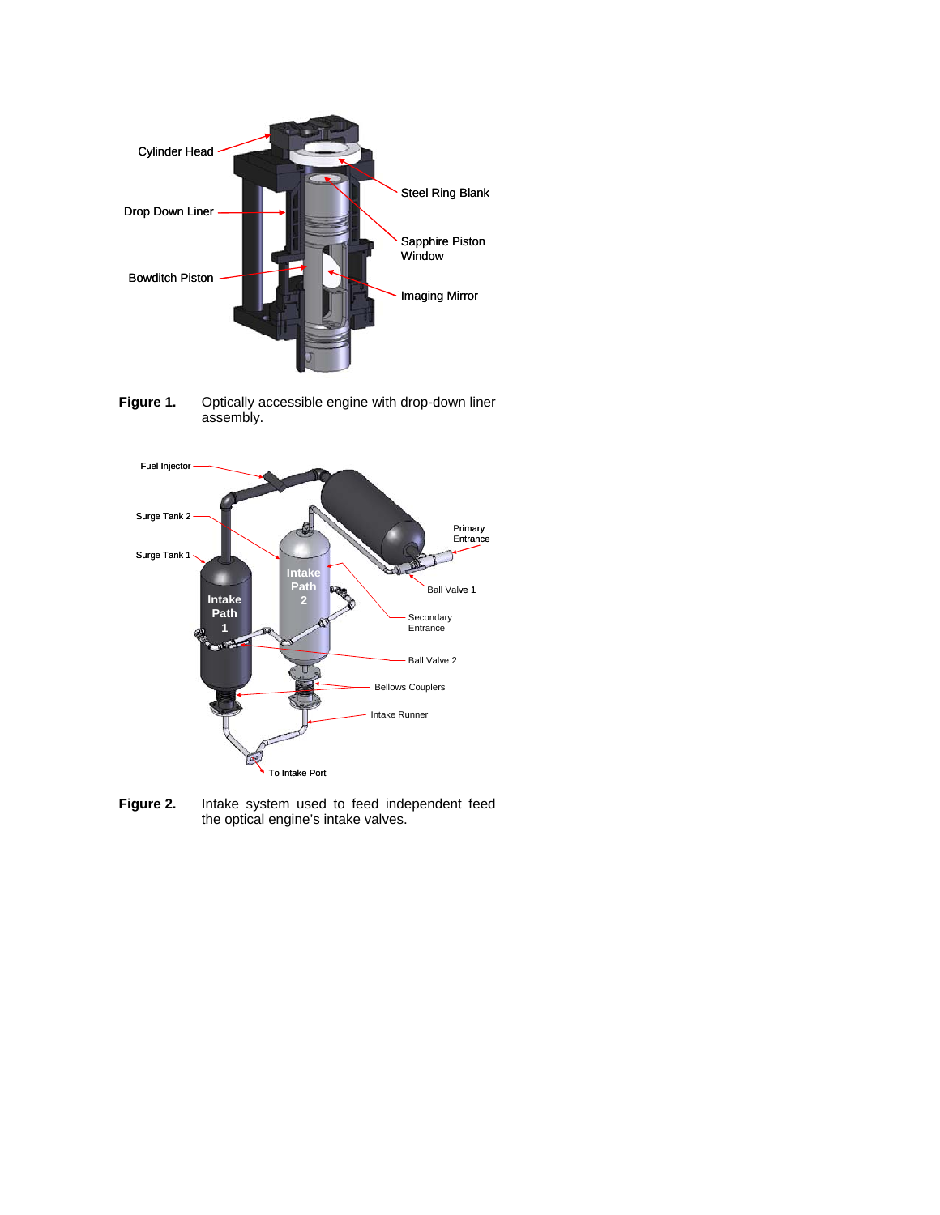

Figure 1. Optically accessible engine with drop-down liner assembly.



**Figure 2.** Intake system used to feed independent feed the optical engine's intake valves.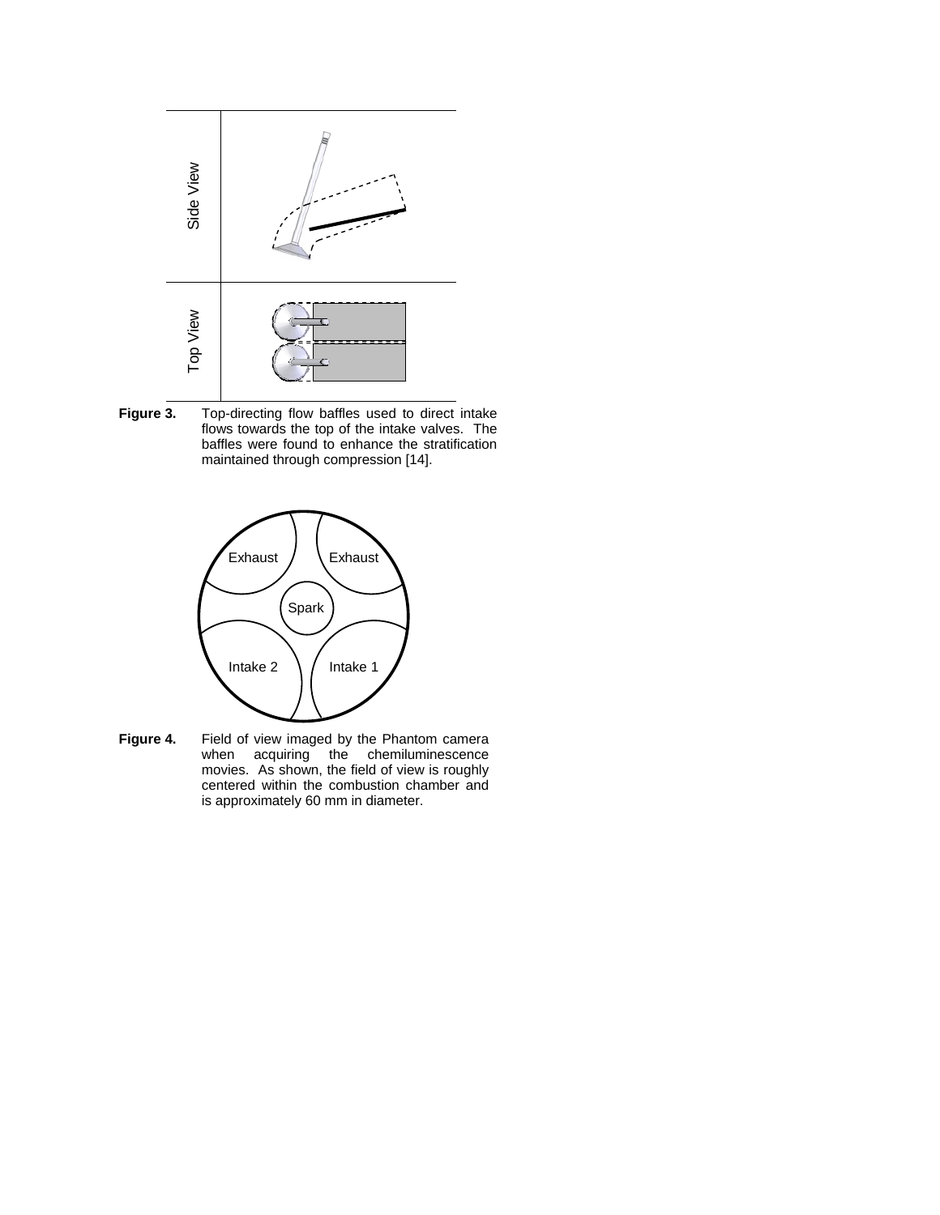

**Figure 3.** Top-directing flow baffles used to direct intake flows towards the top of the intake valves. The baffles were found to enhance the stratification maintained through compression [14].



**Figure 4.** Field of view imaged by the Phantom camera when acquiring the chemiluminescence movies. As shown, the field of view is roughly centered within the combustion chamber and is approximately 60 mm in diameter.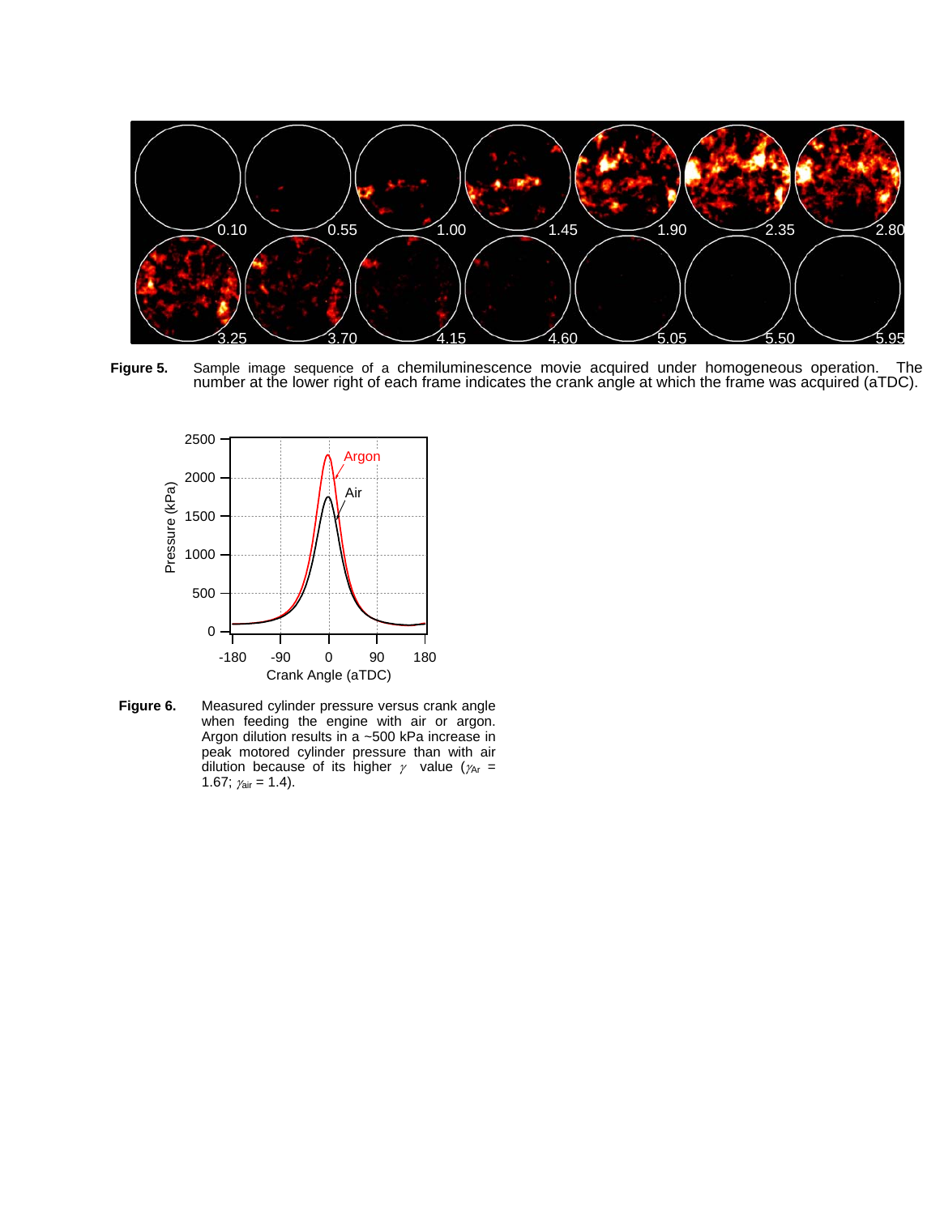

**Figure 5.** Sample image sequence of a chemiluminescence movie acquired under homogeneous operation. The number at the lower right of each frame indicates the crank angle at which the frame was acquired (aTDC).



**Figure 6.** Measured cylinder pressure versus crank angle when feeding the engine with air or argon. Argon dilution results in a ~500 kPa increase in peak motored cylinder pressure than with air dilution because of its higher  $\gamma$  value ( $\gamma_{Ar}$  = 1.67;  $\gamma_{\text{air}} = 1.4$ ).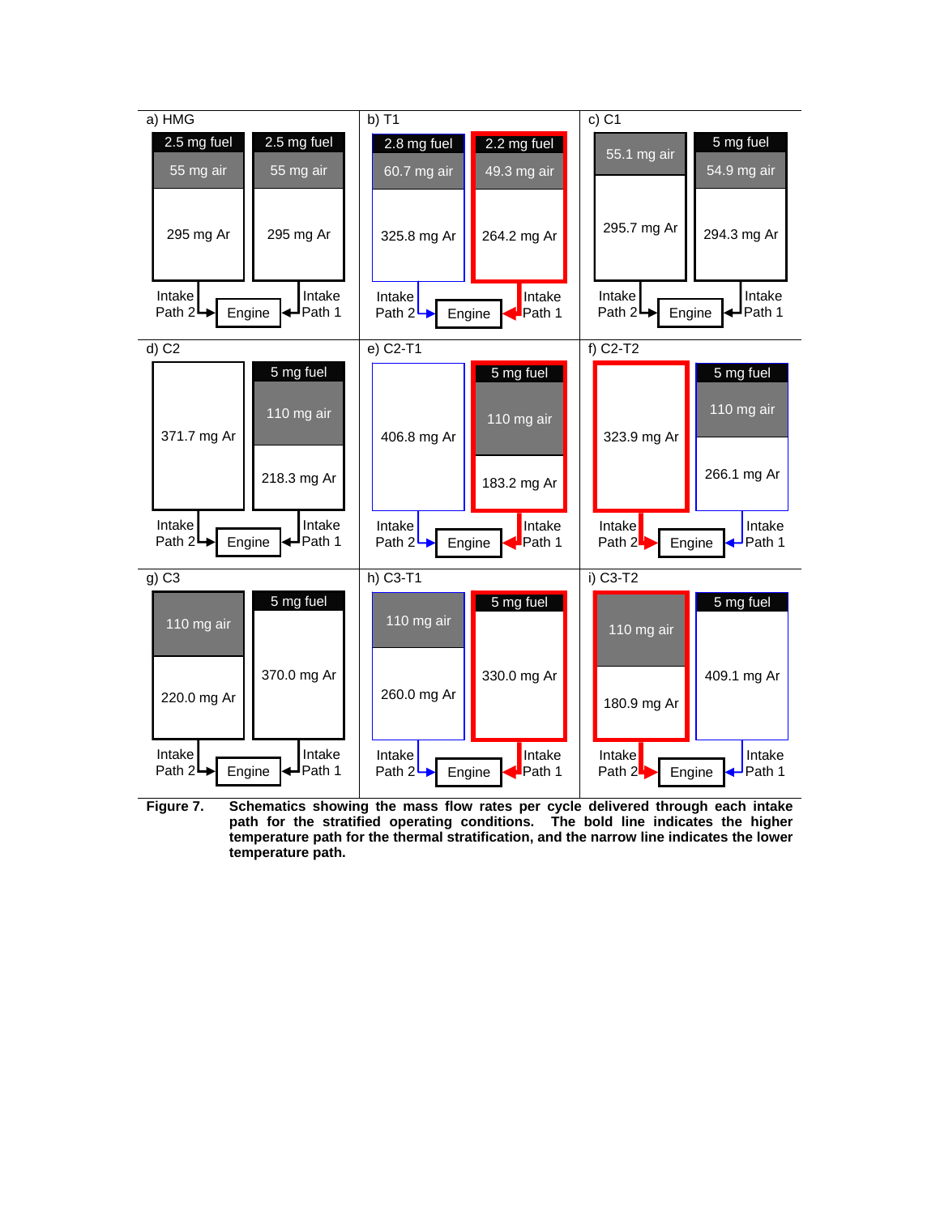

**Figure 7. Schematics showing the mass flow rates per cycle delivered through each intake path for the stratified operating conditions. The bold line indicates the higher temperature path for the thermal stratification, and the narrow line indicates the lower temperature path.**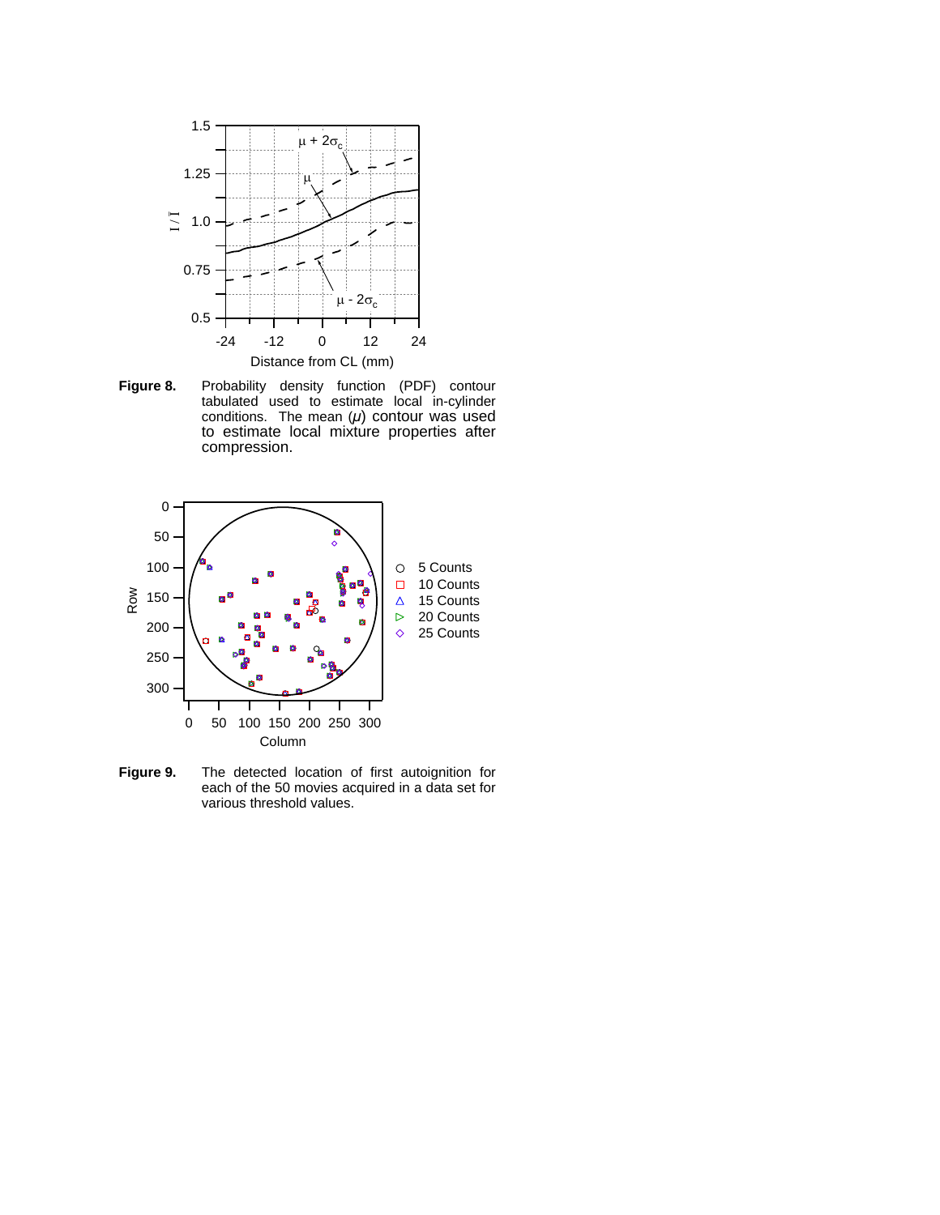

**Figure 8.** Probability density function (PDF) contour tabulated used to estimate local in-cylinder conditions. The mean (*μ*) contour was used to estimate local mixture properties after compression.



**Figure 9.** The detected location of first autoignition for each of the 50 movies acquired in a data set for various threshold values.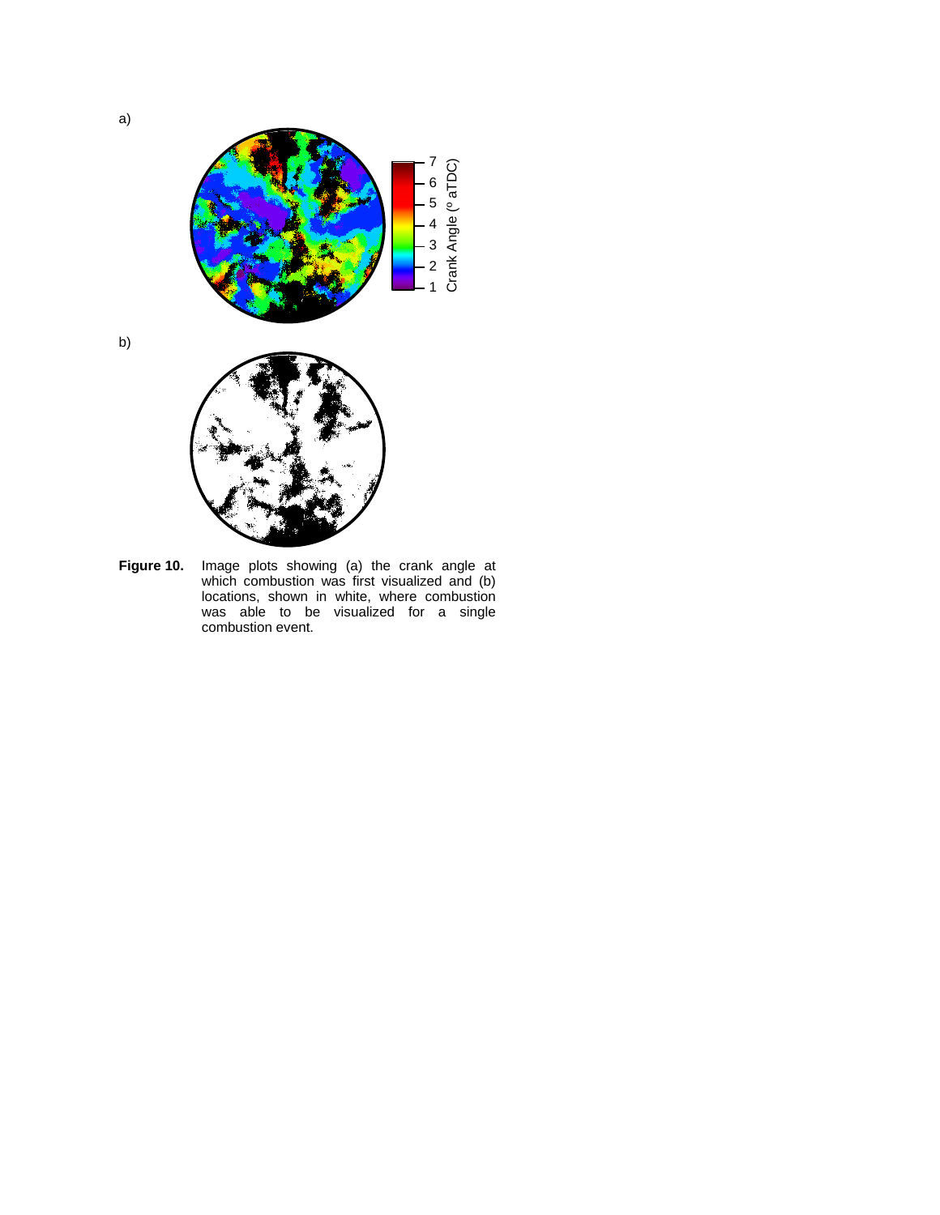

b)



**Figure 10.** Image plots showing (a) the crank angle at which combustion was first visualized and (b) locations, shown in white, where combustion was able to be visualized for a single combustion event.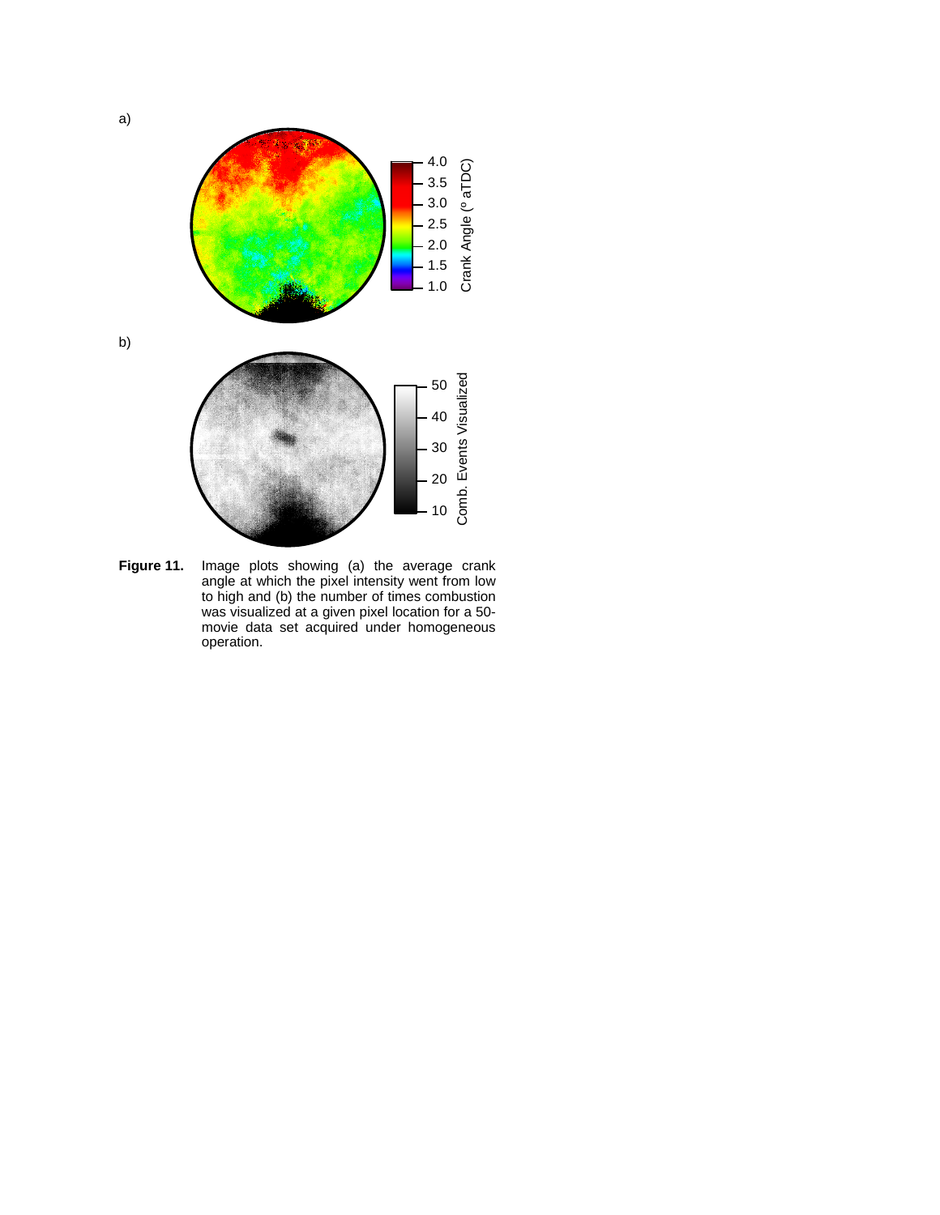

**Figure 11.** Image plots showing (a) the average crank angle at which the pixel intensity went from low to high and (b) the number of times combustion was visualized at a given pixel location for a 50 movie data set acquired under homogeneous operation.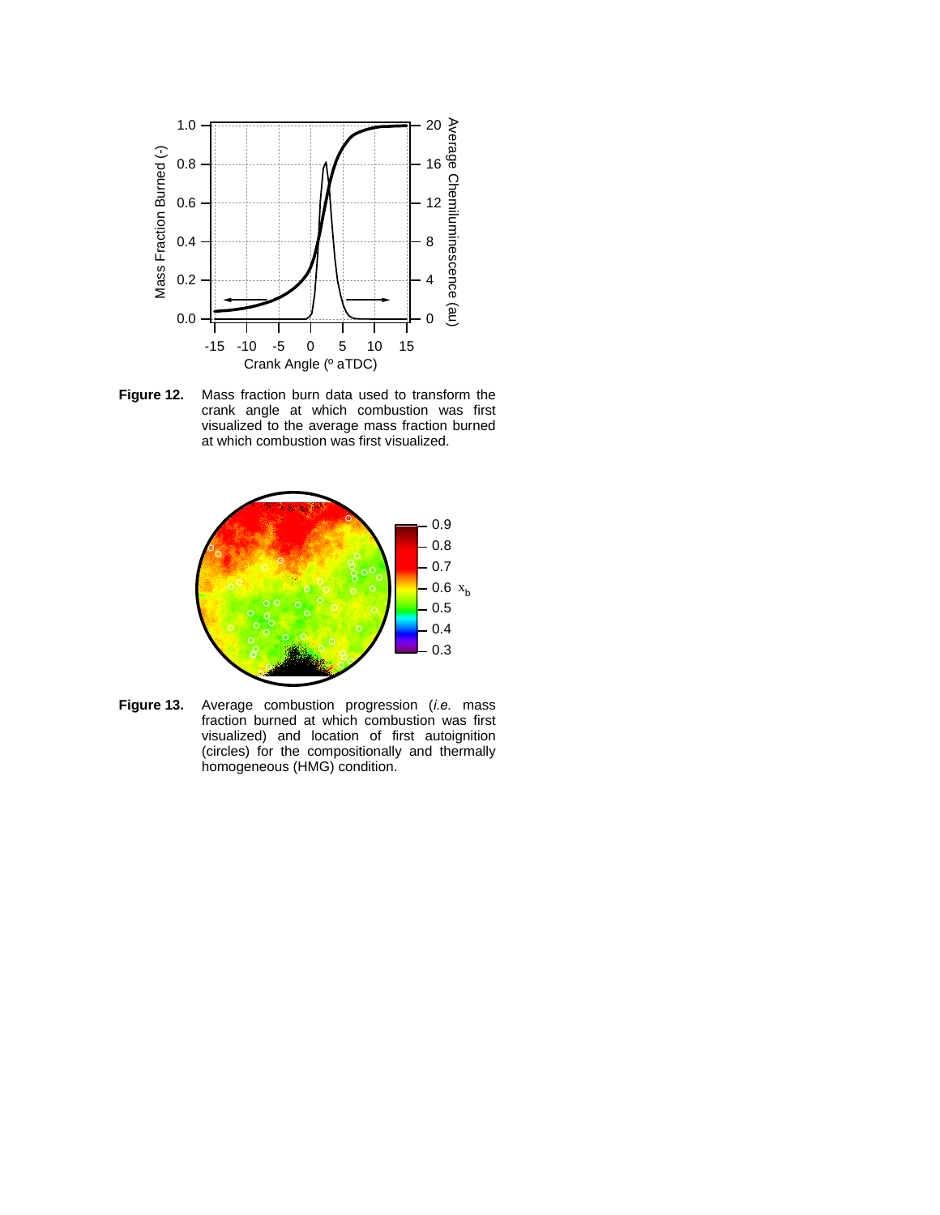

**Figure 12.** Mass fraction burn data used to transform the crank angle at which combustion was first visualized to the average mass fraction burned at which combustion was first visualized.



**Figure 13.** Average combustion progression (*i.e.* mass fraction burned at which combustion was first visualized) and location of first autoignition (circles) for the compositionally and thermally homogeneous (HMG) condition.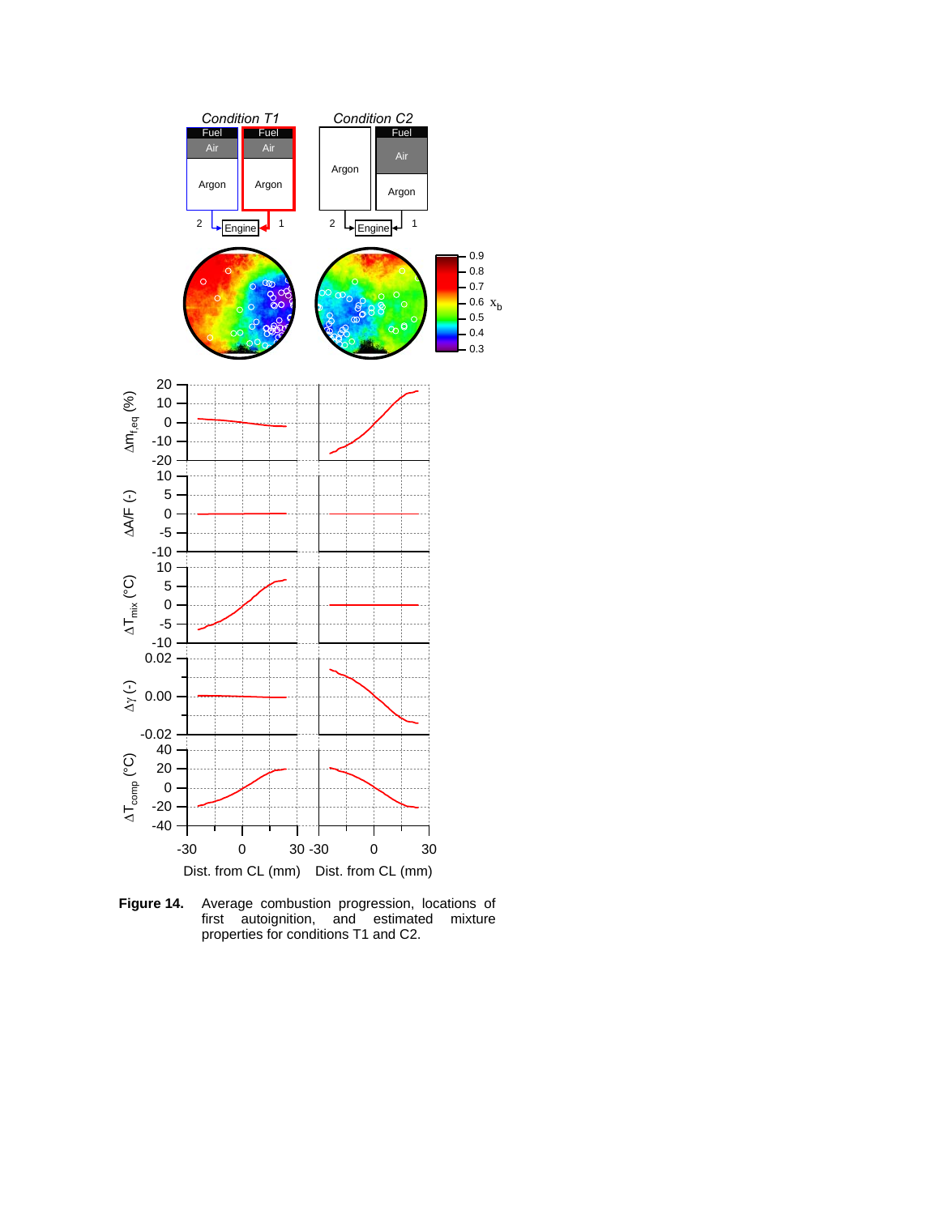

**Figure 14.** Average combustion progression, locations of first autoignition, and estimated mixture properties for conditions T1 and C2.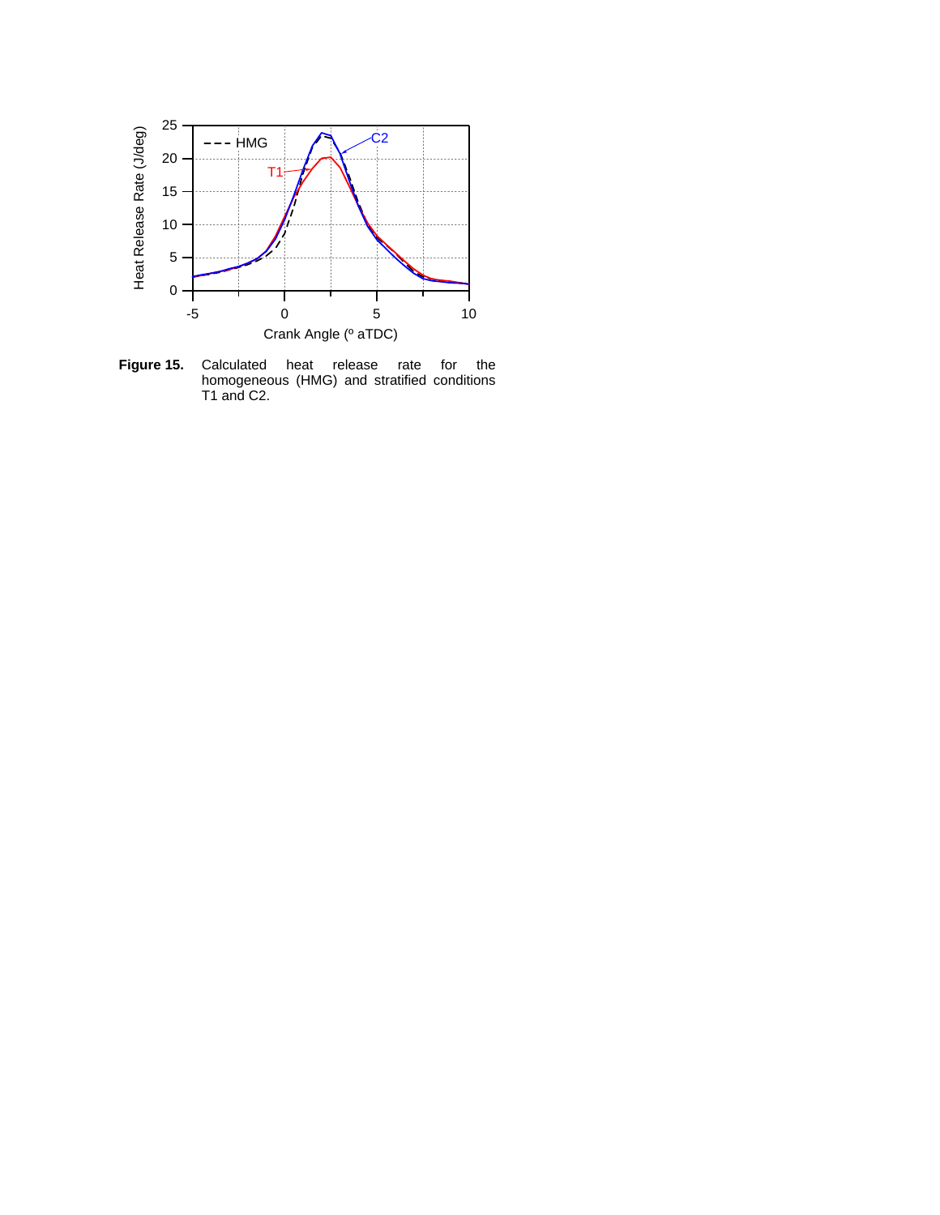

**Figure 15.** Calculated heat release rate for the homogeneous (HMG) and stratified conditions T1 and C2.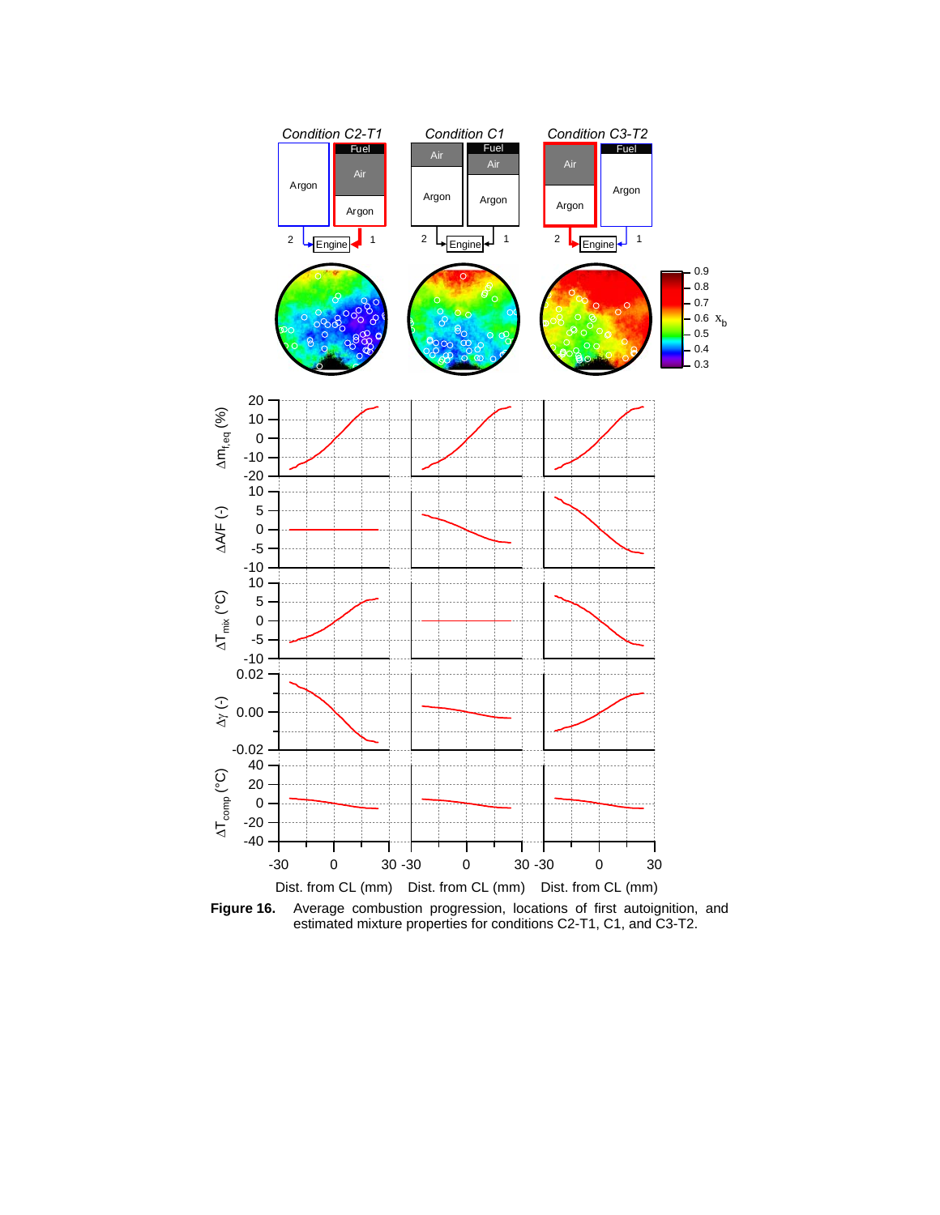

**Figure 16.** Average combustion progression, locations of first autoignition, and estimated mixture properties for conditions C2-T1, C1, and C3-T2.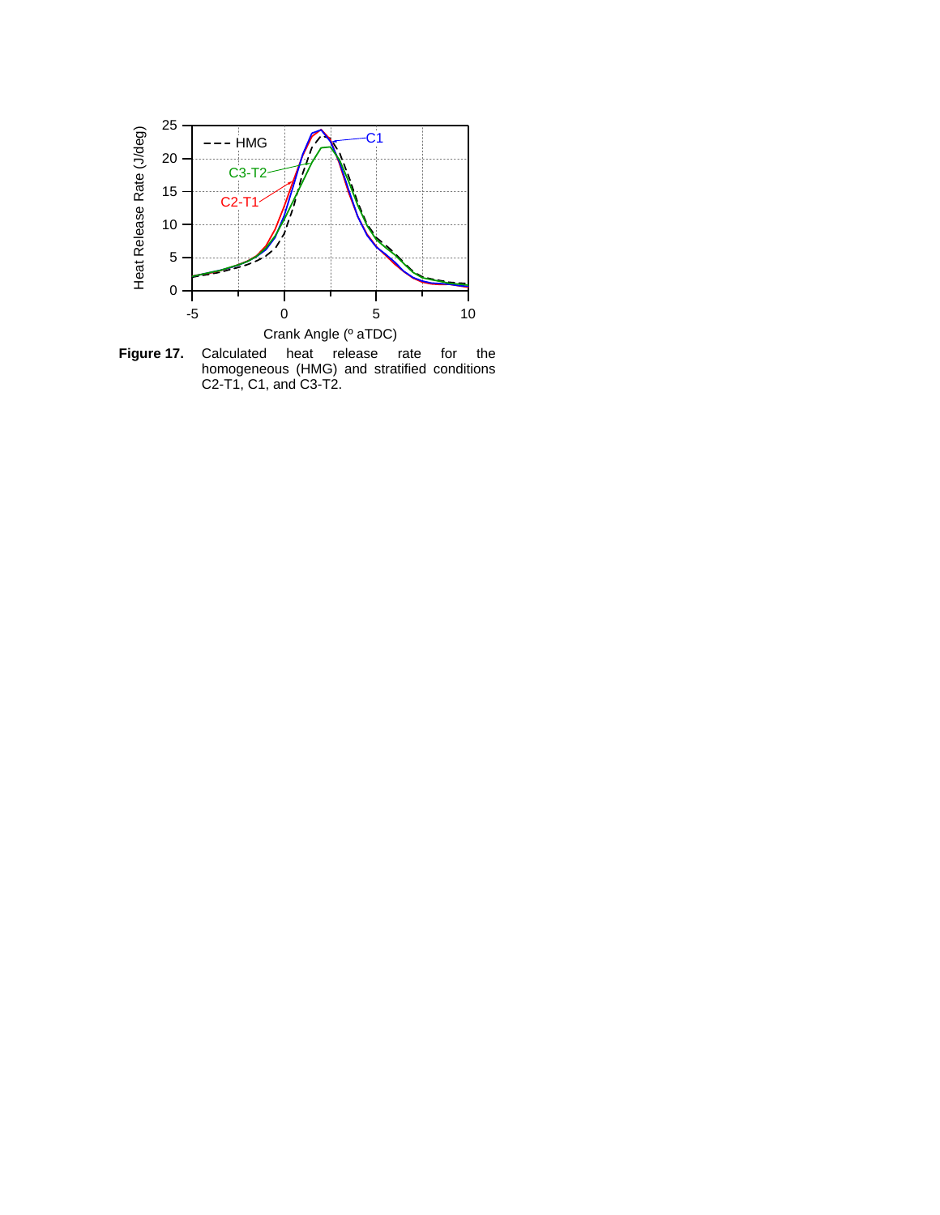

**Figure 17.** Calculated heat release rate for the homogeneous (HMG) and stratified conditions C2-T1, C1, and C3-T2.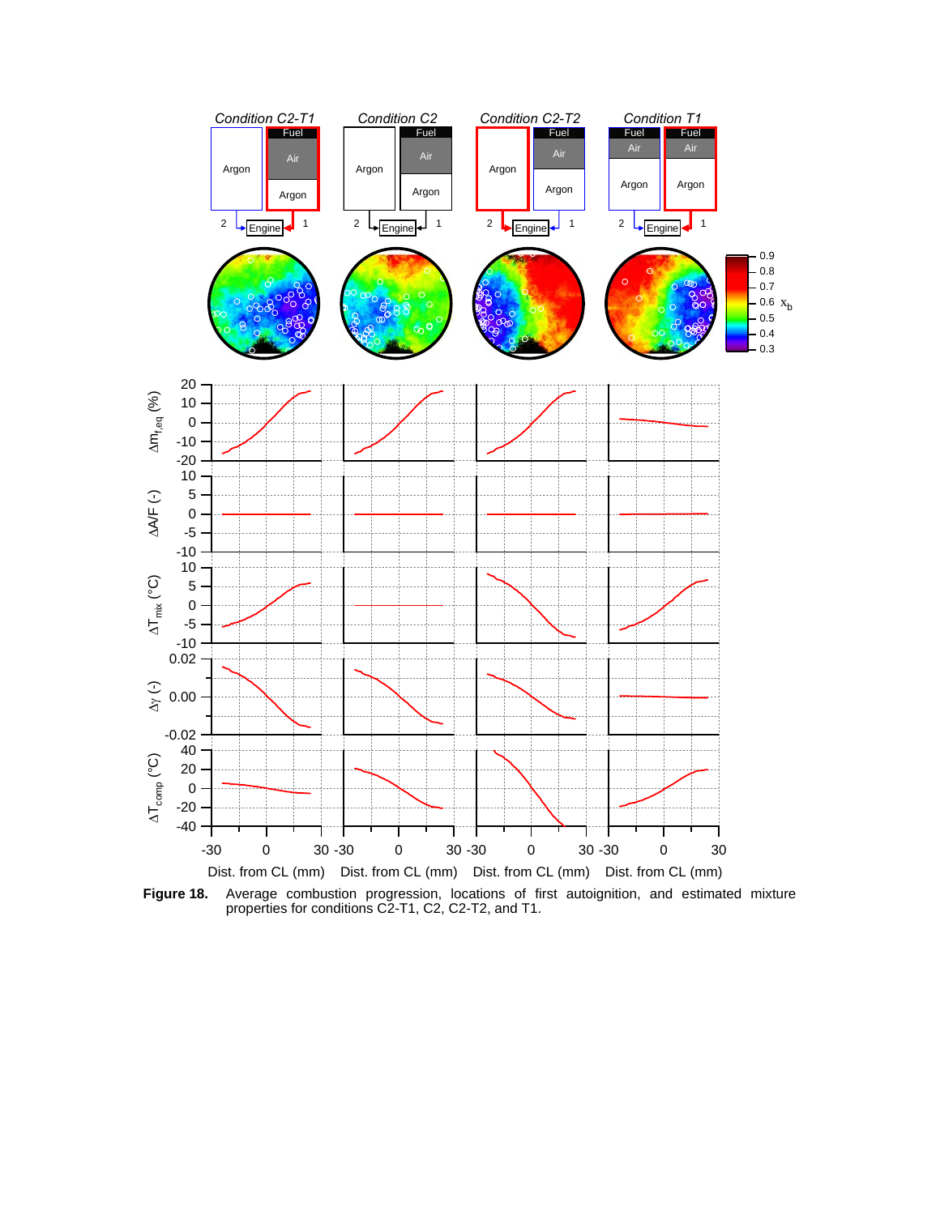

**Figure 18.** Average combustion progression, locations of first autoignition, and estimated mixture properties for conditions C2-T1, C2, C2-T2, and T1.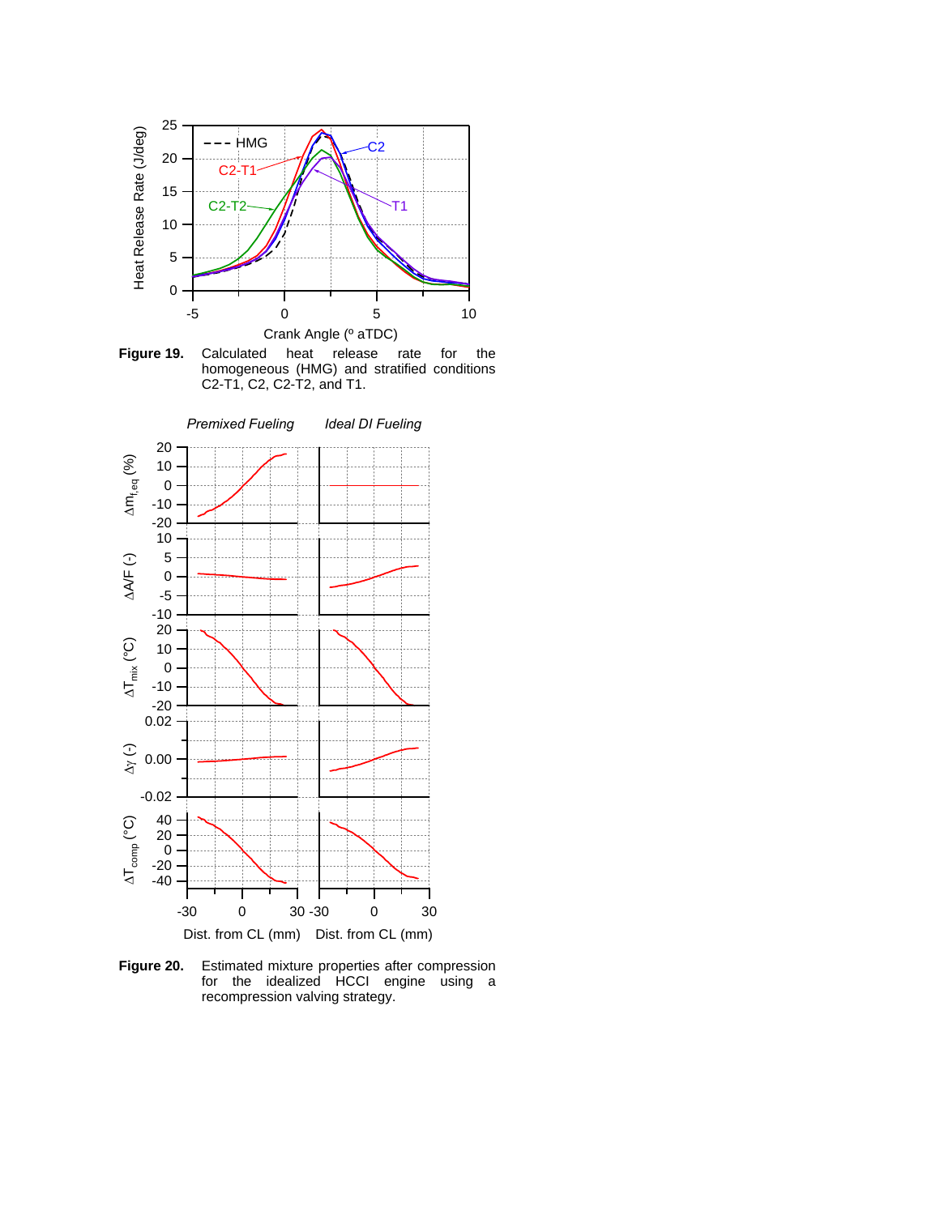

**Figure 19.** Calculated heat release rate for the homogeneous (HMG) and stratified conditions C2-T1, C2, C2-T2, and T1.



**Figure 20.** Estimated mixture properties after compression for the idealized HCCI engine using a recompression valving strategy.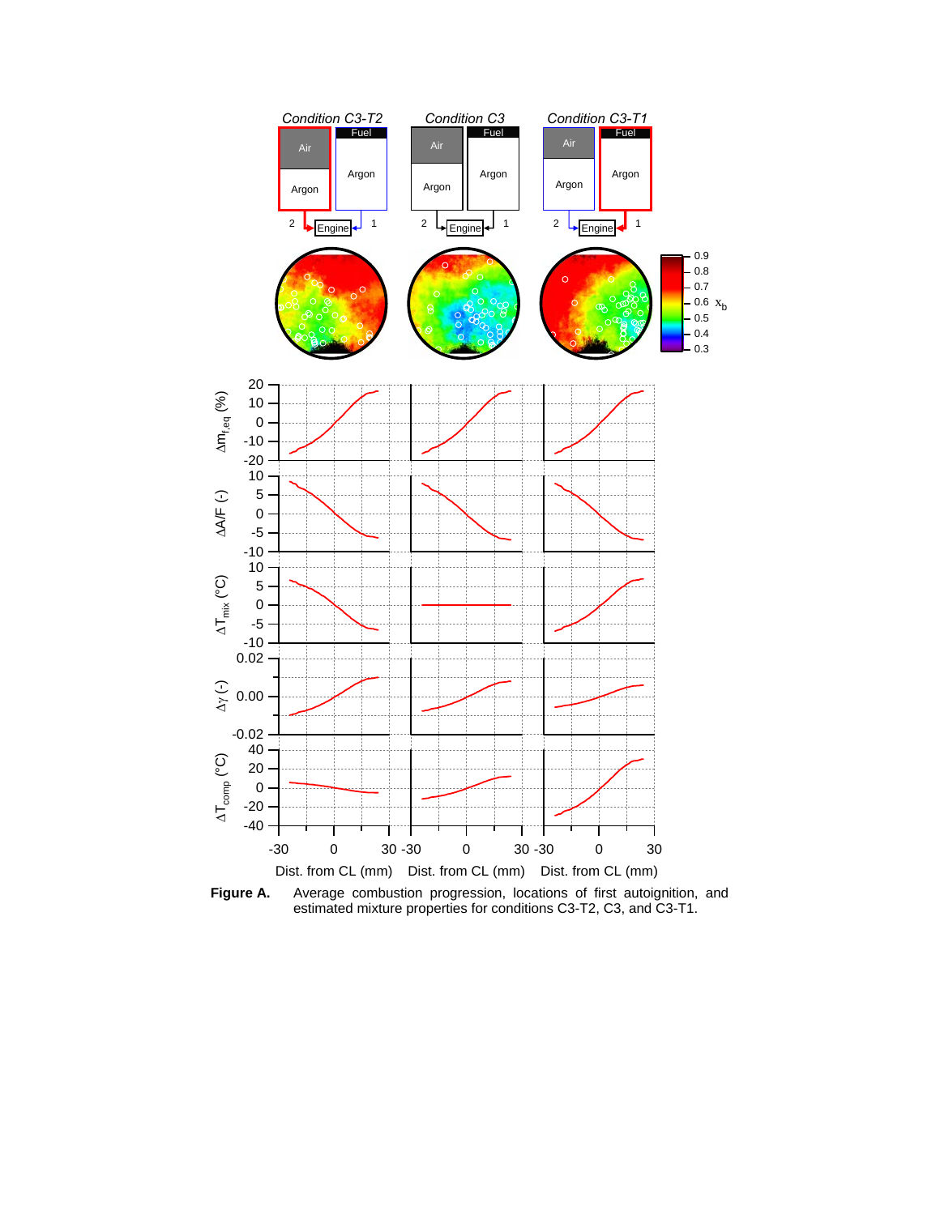

Figure A. Average combustion progression, locations of first autoignition, and estimated mixture properties for conditions C3-T2, C3, and C3-T1.